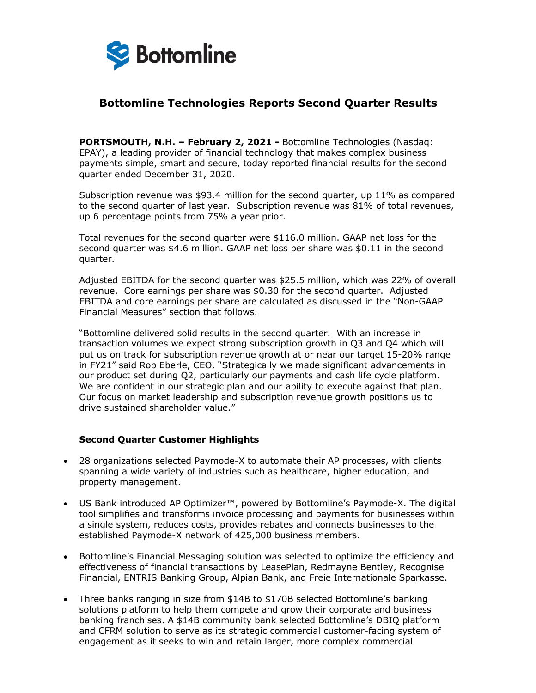

# **Bottomline Technologies Reports Second Quarter Results**

**PORTSMOUTH, N.H. – February 2, 2021 -** Bottomline Technologies (Nasdaq: EPAY), a leading provider of financial technology that makes complex business payments simple, smart and secure, today reported financial results for the second quarter ended December 31, 2020.

Subscription revenue was \$93.4 million for the second quarter, up 11% as compared to the second quarter of last year. Subscription revenue was 81% of total revenues, up 6 percentage points from 75% a year prior.

Total revenues for the second quarter were \$116.0 million. GAAP net loss for the second quarter was \$4.6 million. GAAP net loss per share was \$0.11 in the second quarter.

Adjusted EBITDA for the second quarter was \$25.5 million, which was 22% of overall revenue. Core earnings per share was \$0.30 for the second quarter. Adjusted EBITDA and core earnings per share are calculated as discussed in the "Non-GAAP Financial Measures" section that follows.

"Bottomline delivered solid results in the second quarter. With an increase in transaction volumes we expect strong subscription growth in Q3 and Q4 which will put us on track for subscription revenue growth at or near our target 15-20% range in FY21" said Rob Eberle, CEO. "Strategically we made significant advancements in our product set during Q2, particularly our payments and cash life cycle platform. We are confident in our strategic plan and our ability to execute against that plan. Our focus on market leadership and subscription revenue growth positions us to drive sustained shareholder value."

#### **Second Quarter Customer Highlights**

- 28 organizations selected Paymode-X to automate their AP processes, with clients spanning a wide variety of industries such as healthcare, higher education, and property management.
- US Bank introduced AP Optimizer™, powered by Bottomline's Paymode-X. The digital tool simplifies and transforms invoice processing and payments for businesses within a single system, reduces costs, provides rebates and connects businesses to the established Paymode-X network of 425,000 business members.
- Bottomline's Financial Messaging solution was selected to optimize the efficiency and effectiveness of financial transactions by LeasePlan, Redmayne Bentley, Recognise Financial, ENTRIS Banking Group, Alpian Bank, and Freie Internationale Sparkasse.
- Three banks ranging in size from \$14B to \$170B selected Bottomline's banking solutions platform to help them compete and grow their corporate and business banking franchises. A \$14B community bank selected Bottomline's DBIQ platform and CFRM solution to serve as its strategic commercial customer-facing system of engagement as it seeks to win and retain larger, more complex commercial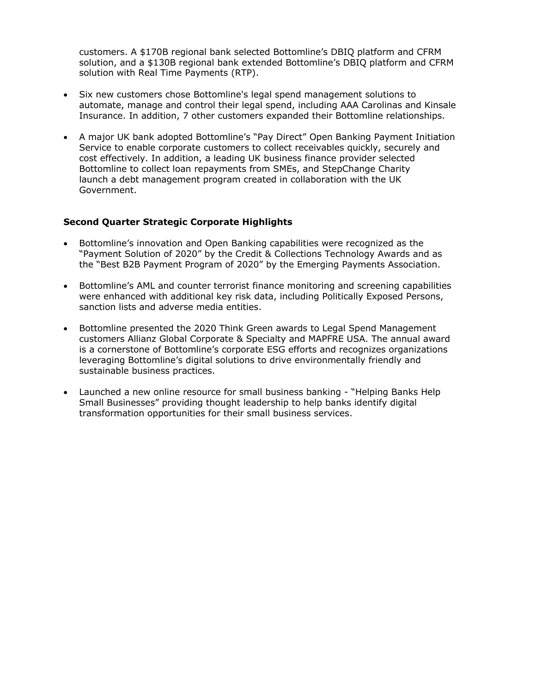customers. A \$170B regional bank selected Bottomline's DBIQ platform and CFRM solution, and a \$130B regional bank extended Bottomline's DBIQ platform and CFRM solution with Real Time Payments (RTP).

- Six new customers chose Bottomline's legal spend management solutions to automate, manage and control their legal spend, including AAA Carolinas and Kinsale Insurance. In addition, 7 other customers expanded their Bottomline relationships.
- A major UK bank adopted Bottomline's "Pay Direct" Open Banking Payment Initiation Service to enable corporate customers to collect receivables quickly, securely and cost effectively. In addition, a leading UK business finance provider selected Bottomline to collect loan repayments from SMEs, and StepChange Charity launch a debt management program created in collaboration with the UK Government.

## **Second Quarter Strategic Corporate Highlights**

- Bottomline's innovation and Open Banking capabilities were recognized as the "Payment Solution of 2020" by the Credit & Collections Technology Awards and as the "Best B2B Payment Program of 2020" by the Emerging Payments Association.
- Bottomline's AML and counter terrorist finance monitoring and screening capabilities were enhanced with additional key risk data, including Politically Exposed Persons, sanction lists and adverse media entities.
- Bottomline presented the 2020 Think Green awards to Legal Spend Management customers Allianz Global Corporate & Specialty and MAPFRE USA. The annual award is a cornerstone of Bottomline's corporate ESG efforts and recognizes organizations leveraging Bottomline's digital solutions to drive environmentally friendly and sustainable business practices.
- Launched a new online resource for small business banking "Helping Banks Help Small Businesses" providing thought leadership to help banks identify digital transformation opportunities for their small business services.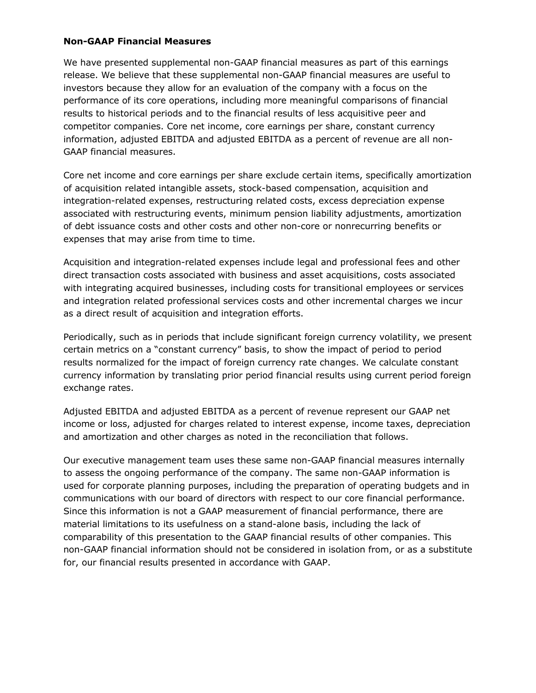## **Non-GAAP Financial Measures**

We have presented supplemental non-GAAP financial measures as part of this earnings release. We believe that these supplemental non-GAAP financial measures are useful to investors because they allow for an evaluation of the company with a focus on the performance of its core operations, including more meaningful comparisons of financial results to historical periods and to the financial results of less acquisitive peer and competitor companies. Core net income, core earnings per share, constant currency information, adjusted EBITDA and adjusted EBITDA as a percent of revenue are all non-GAAP financial measures.

Core net income and core earnings per share exclude certain items, specifically amortization of acquisition related intangible assets, stock-based compensation, acquisition and integration-related expenses, restructuring related costs, excess depreciation expense associated with restructuring events, minimum pension liability adjustments, amortization of debt issuance costs and other costs and other non-core or nonrecurring benefits or expenses that may arise from time to time.

Acquisition and integration-related expenses include legal and professional fees and other direct transaction costs associated with business and asset acquisitions, costs associated with integrating acquired businesses, including costs for transitional employees or services and integration related professional services costs and other incremental charges we incur as a direct result of acquisition and integration efforts.

Periodically, such as in periods that include significant foreign currency volatility, we present certain metrics on a "constant currency" basis, to show the impact of period to period results normalized for the impact of foreign currency rate changes. We calculate constant currency information by translating prior period financial results using current period foreign exchange rates.

Adjusted EBITDA and adjusted EBITDA as a percent of revenue represent our GAAP net income or loss, adjusted for charges related to interest expense, income taxes, depreciation and amortization and other charges as noted in the reconciliation that follows.

Our executive management team uses these same non-GAAP financial measures internally to assess the ongoing performance of the company. The same non-GAAP information is used for corporate planning purposes, including the preparation of operating budgets and in communications with our board of directors with respect to our core financial performance. Since this information is not a GAAP measurement of financial performance, there are material limitations to its usefulness on a stand-alone basis, including the lack of comparability of this presentation to the GAAP financial results of other companies. This non-GAAP financial information should not be considered in isolation from, or as a substitute for, our financial results presented in accordance with GAAP.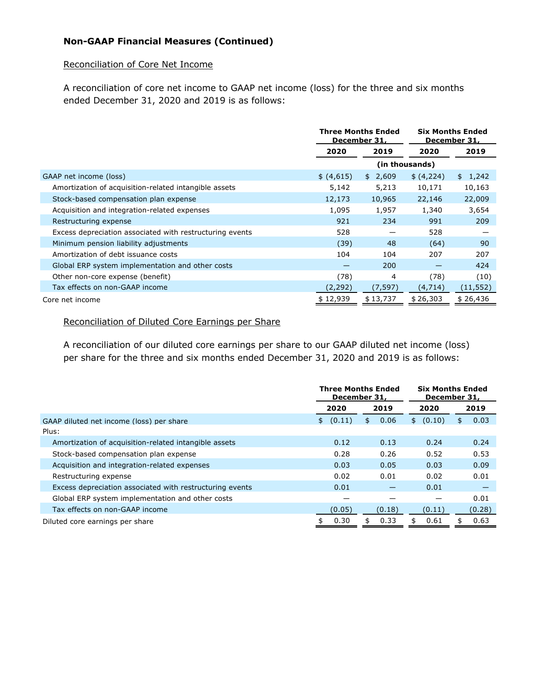## **Non-GAAP Financial Measures (Continued)**

## Reconciliation of Core Net Income

A reconciliation of core net income to GAAP net income (loss) for the three and six months ended December 31, 2020 and 2019 is as follows:

|                                                          | <b>Three Months Ended</b><br>December 31, |          | <b>Six Months Ended</b><br>December 31, |           |
|----------------------------------------------------------|-------------------------------------------|----------|-----------------------------------------|-----------|
|                                                          | 2020                                      | 2019     | 2020                                    | 2019      |
|                                                          |                                           |          | (in thousands)                          |           |
| GAAP net income (loss)                                   | \$ (4,615)                                | \$2,609  | \$ (4,224)                              | \$1,242   |
| Amortization of acquisition-related intangible assets    | 5,142                                     | 5,213    | 10,171                                  | 10,163    |
| Stock-based compensation plan expense                    | 12,173                                    | 10,965   | 22,146                                  | 22,009    |
| Acquisition and integration-related expenses             | 1,095                                     | 1,957    | 1,340                                   | 3,654     |
| Restructuring expense                                    | 921                                       | 234      | 991                                     | 209       |
| Excess depreciation associated with restructuring events | 528                                       |          | 528                                     |           |
| Minimum pension liability adjustments                    | (39)                                      | 48       | (64)                                    | 90        |
| Amortization of debt issuance costs                      | 104                                       | 104      | 207                                     | 207       |
| Global ERP system implementation and other costs         | -                                         | 200      |                                         | 424       |
| Other non-core expense (benefit)                         | (78)                                      | 4        | (78)                                    | (10)      |
| Tax effects on non-GAAP income                           | (2, 292)                                  | (7, 597) | (4, 714)                                | (11, 552) |
| Core net income                                          | \$12,939                                  | \$13,737 | \$26,303                                | \$26,436  |

#### Reconciliation of Diluted Core Earnings per Share

A reconciliation of our diluted core earnings per share to our GAAP diluted net income (loss) per share for the three and six months ended December 31, 2020 and 2019 is as follows:

|                                                          | <b>Three Months Ended</b><br>December 31, |            | <b>Six Months Ended</b><br>December 31, |            |
|----------------------------------------------------------|-------------------------------------------|------------|-----------------------------------------|------------|
|                                                          | 2020                                      | 2019       | 2020                                    | 2019       |
| GAAP diluted net income (loss) per share<br>Plus:        | (0.11)<br>\$                              | 0.06<br>\$ | (0.10)<br>\$                            | 0.03<br>\$ |
| Amortization of acquisition-related intangible assets    | 0.12                                      | 0.13       | 0.24                                    | 0.24       |
| Stock-based compensation plan expense                    | 0.28                                      | 0.26       | 0.52                                    | 0.53       |
| Acquisition and integration-related expenses             | 0.03                                      | 0.05       | 0.03                                    | 0.09       |
| Restructuring expense                                    | 0.02                                      | 0.01       | 0.02                                    | 0.01       |
| Excess depreciation associated with restructuring events | 0.01                                      |            | 0.01                                    |            |
| Global ERP system implementation and other costs         |                                           |            |                                         | 0.01       |
| Tax effects on non-GAAP income                           | (0.05)                                    | (0.18)     | (0.11)                                  | (0.28)     |
| Diluted core earnings per share                          | 0.30                                      | 0.33<br>\$ | 0.61<br>\$                              | 0.63<br>\$ |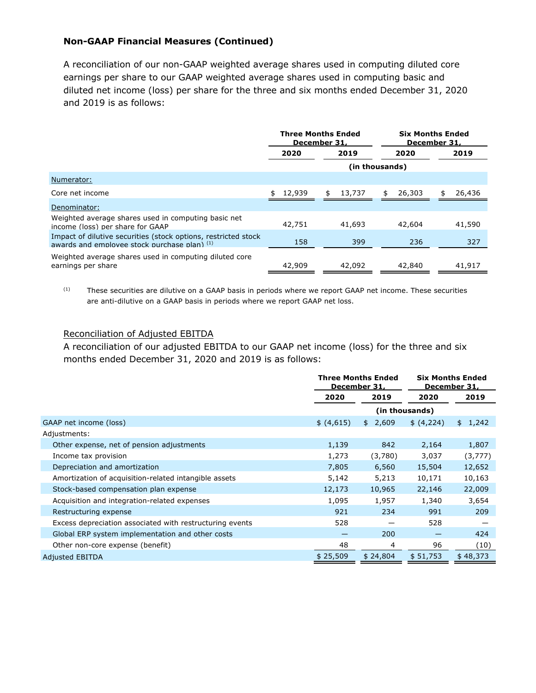## **Non-GAAP Financial Measures (Continued)**

A reconciliation of our non-GAAP weighted average shares used in computing diluted core earnings per share to our GAAP weighted average shares used in computing basic and diluted net income (loss) per share for the three and six months ended December 31, 2020 and 2019 is as follows:

|                                                                                                                  | <b>Three Months Ended</b><br>December 31. |              | <b>Six Months Ended</b><br>December 31. |              |
|------------------------------------------------------------------------------------------------------------------|-------------------------------------------|--------------|-----------------------------------------|--------------|
|                                                                                                                  | 2020                                      | 2019         | 2020                                    | 2019         |
|                                                                                                                  |                                           |              | (in thousands)                          |              |
| Numerator:                                                                                                       |                                           |              |                                         |              |
| Core net income                                                                                                  | 12,939                                    | 13,737<br>\$ | 26,303<br>S.                            | 26,436<br>\$ |
| Denominator:                                                                                                     |                                           |              |                                         |              |
| Weighted average shares used in computing basic net<br>income (loss) per share for GAAP                          | 42,751                                    | 41,693       | 42,604                                  | 41,590       |
| Impact of dilutive securities (stock options, restricted stock<br>awards and employee stock purchase plan) $(1)$ | 158                                       | 399          | 236                                     | 327          |
| Weighted average shares used in computing diluted core<br>earnings per share                                     | 42,909                                    | 42,092       | 42,840                                  | 41,917       |

 $(1)$  These securities are dilutive on a GAAP basis in periods where we report GAAP net income. These securities are anti-dilutive on a GAAP basis in periods where we report GAAP net loss.

#### Reconciliation of Adjusted EBITDA

A reconciliation of our adjusted EBITDA to our GAAP net income (loss) for the three and six months ended December 31, 2020 and 2019 is as follows:

|                                                          | <b>Three Months Ended</b><br>December 31, |             | <b>Six Months Ended</b><br>December 31, |             |
|----------------------------------------------------------|-------------------------------------------|-------------|-----------------------------------------|-------------|
|                                                          | 2020                                      | 2019        | 2020                                    | 2019        |
|                                                          |                                           |             | (in thousands)                          |             |
| GAAP net income (loss)                                   | \$ (4,615)                                | 2,609<br>\$ | \$ (4,224)                              | 1,242<br>\$ |
| Adjustments:                                             |                                           |             |                                         |             |
| Other expense, net of pension adjustments                | 1,139                                     | 842         | 2,164                                   | 1,807       |
| Income tax provision                                     | 1,273                                     | (3,780)     | 3,037                                   | (3,777)     |
| Depreciation and amortization                            | 7,805                                     | 6,560       | 15,504                                  | 12,652      |
| Amortization of acquisition-related intangible assets    | 5,142                                     | 5,213       | 10,171                                  | 10,163      |
| Stock-based compensation plan expense                    | 12,173                                    | 10,965      | 22,146                                  | 22,009      |
| Acquisition and integration-related expenses             | 1,095                                     | 1,957       | 1,340                                   | 3,654       |
| Restructuring expense                                    | 921                                       | 234         | 991                                     | 209         |
| Excess depreciation associated with restructuring events | 528                                       |             | 528                                     |             |
| Global ERP system implementation and other costs         |                                           | 200         |                                         | 424         |
| Other non-core expense (benefit)                         | 48                                        | 4           | 96                                      | (10)        |
| <b>Adjusted EBITDA</b>                                   | \$25,509                                  | \$24,804    | \$51,753                                | \$48,373    |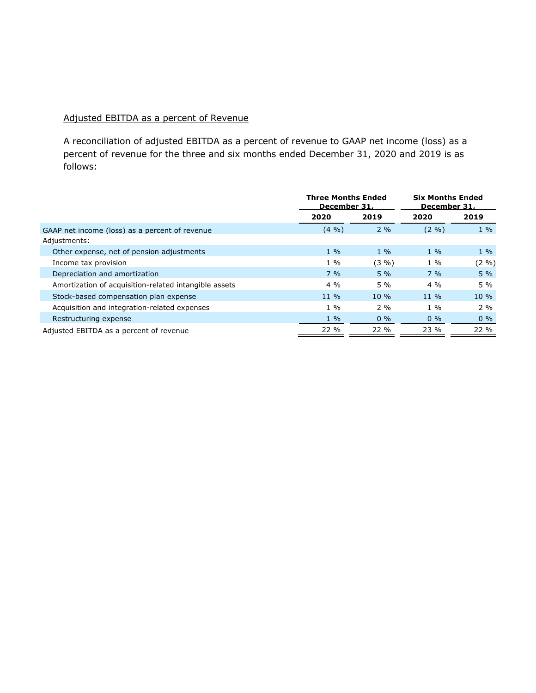## Adjusted EBITDA as a percent of Revenue

A reconciliation of adjusted EBITDA as a percent of revenue to GAAP net income (loss) as a percent of revenue for the three and six months ended December 31, 2020 and 2019 is as follows:

|                                                                | Three Months Ended<br>December 31, |          | <b>Six Months Ended</b><br>December 31, |        |
|----------------------------------------------------------------|------------------------------------|----------|-----------------------------------------|--------|
|                                                                | 2020                               | 2019     | 2020                                    | 2019   |
| GAAP net income (loss) as a percent of revenue<br>Adjustments: | $(4 \frac{9}{6})$                  | 2%       | (2, 9)                                  | $1\%$  |
| Other expense, net of pension adjustments                      | $1\%$                              | $1\%$    | $1\%$                                   | $1\%$  |
| Income tax provision                                           | $1\%$                              | $(3 \%)$ | $1\%$                                   | (2 %)  |
| Depreciation and amortization                                  | $7\%$                              | $5\%$    | $7\%$                                   | $5\%$  |
| Amortization of acquisition-related intangible assets          | $4\%$                              | $5\%$    | $4\%$                                   | $5\%$  |
| Stock-based compensation plan expense                          | $11\%$                             | $10\%$   | $11\%$                                  | $10\%$ |
| Acquisition and integration-related expenses                   | $1\%$                              | $2\%$    | $1\%$                                   | $2\%$  |
| Restructuring expense                                          | $1\%$                              | $0\%$    | $0\%$                                   | $0\%$  |
| Adjusted EBITDA as a percent of revenue                        | $22\%$                             | $22\%$   | 23 %                                    | 22 %   |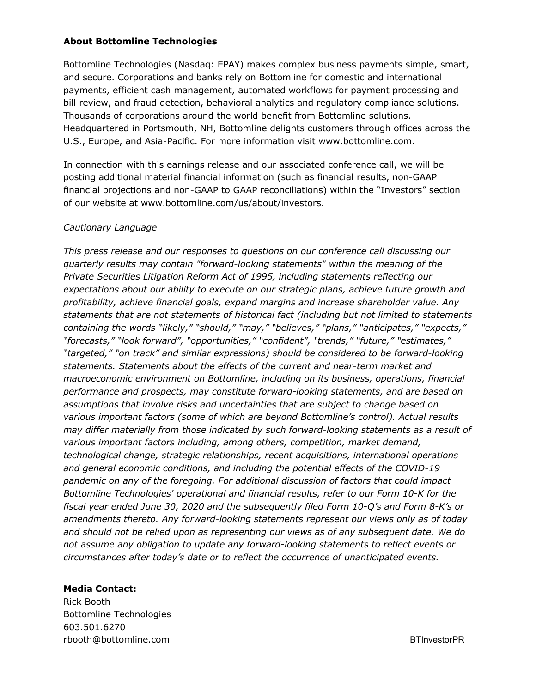## **About Bottomline Technologies**

Bottomline Technologies (Nasdaq: EPAY) makes complex business payments simple, smart, and secure. Corporations and banks rely on Bottomline for domestic and international payments, efficient cash management, automated workflows for payment processing and bill review, and fraud detection, behavioral analytics and regulatory compliance solutions. Thousands of corporations around the world benefit from Bottomline solutions. Headquartered in Portsmouth, NH, Bottomline delights customers through offices across the U.S., Europe, and Asia-Pacific. For more information visit www.bottomline.com.

In connection with this earnings release and our associated conference call, we will be posting additional material financial information (such as financial results, non-GAAP financial projections and non-GAAP to GAAP reconciliations) within the "Investors" section of our website at www.bottomline.com/us/about/investors.

## *Cautionary Language*

*This press release and our responses to questions on our conference call discussing our quarterly results may contain "forward-looking statements" within the meaning of the Private Securities Litigation Reform Act of 1995, including statements reflecting our expectations about our ability to execute on our strategic plans, achieve future growth and profitability, achieve financial goals, expand margins and increase shareholder value. Any statements that are not statements of historical fact (including but not limited to statements containing the words "likely," "should," "may," "believes," "plans," "anticipates," "expects," "forecasts," "look forward", "opportunities," "confident", "trends," "future," "estimates," "targeted," "on track" and similar expressions) should be considered to be forward-looking statements. Statements about the effects of the current and near-term market and macroeconomic environment on Bottomline, including on its business, operations, financial performance and prospects, may constitute forward-looking statements, and are based on assumptions that involve risks and uncertainties that are subject to change based on various important factors (some of which are beyond Bottomline's control). Actual results may differ materially from those indicated by such forward-looking statements as a result of various important factors including, among others, competition, market demand, technological change, strategic relationships, recent acquisitions, international operations and general economic conditions, and including the potential effects of the COVID-19 pandemic on any of the foregoing. For additional discussion of factors that could impact Bottomline Technologies' operational and financial results, refer to our Form 10-K for the fiscal year ended June 30, 2020 and the subsequently filed Form 10-Q's and Form 8-K's or amendments thereto. Any forward-looking statements represent our views only as of today and should not be relied upon as representing our views as of any subsequent date. We do not assume any obligation to update any forward-looking statements to reflect events or circumstances after today's date or to reflect the occurrence of unanticipated events.*

#### **Media Contact:**

Rick Booth Bottomline Technologies 603.501.6270 rbooth@bottomline.com BTInvestorPR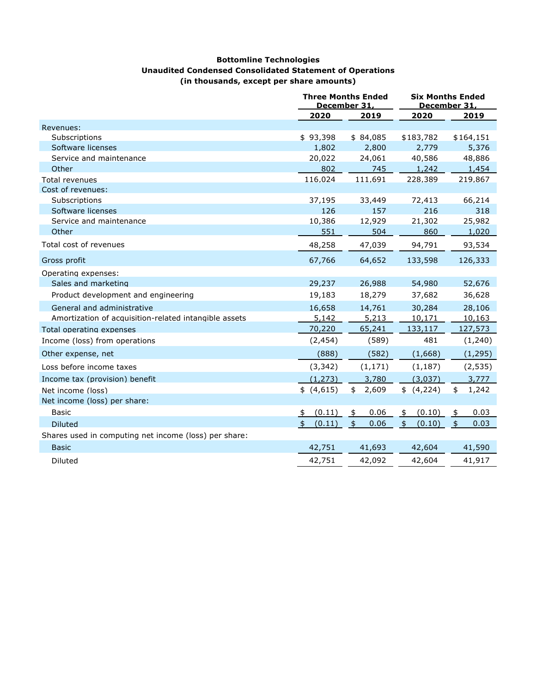#### **Bottomline Technologies Unaudited Condensed Consolidated Statement of Operations (in thousands, except per share amounts)**

|                                                       |                              | <b>Three Months Ended</b><br>December 31. | <b>Six Months Ended</b><br>December 31. |                       |  |
|-------------------------------------------------------|------------------------------|-------------------------------------------|-----------------------------------------|-----------------------|--|
|                                                       | 2020                         | 2019                                      | 2020                                    | 2019                  |  |
| Revenues:                                             |                              |                                           |                                         |                       |  |
| Subscriptions                                         | \$93,398                     | \$84,085                                  | \$183,782                               | \$164,151             |  |
| Software licenses                                     | 1,802                        | 2,800                                     | 2,779                                   | 5,376                 |  |
| Service and maintenance                               | 20,022                       | 24,061                                    | 40,586                                  | 48,886                |  |
| Other                                                 | 802                          | 745                                       | 1,242                                   | 1,454                 |  |
| <b>Total revenues</b>                                 | 116,024                      | 111,691                                   | 228,389                                 | 219,867               |  |
| Cost of revenues:                                     |                              |                                           |                                         |                       |  |
| Subscriptions                                         | 37,195                       | 33,449                                    | 72,413                                  | 66,214                |  |
| Software licenses                                     | 126                          | 157                                       | 216                                     | 318                   |  |
| Service and maintenance                               | 10,386                       | 12,929                                    | 21,302                                  | 25,982                |  |
| Other                                                 | 551                          | 504                                       | 860                                     | 1,020                 |  |
| Total cost of revenues                                | 48,258                       | 47,039                                    | 94,791                                  | 93,534                |  |
| Gross profit                                          | 67,766                       | 64,652                                    | 133,598                                 | 126,333               |  |
| Operating expenses:                                   |                              |                                           |                                         |                       |  |
| Sales and marketing                                   | 29,237                       | 26,988                                    | 54,980                                  | 52,676                |  |
| Product development and engineering                   | 19,183                       | 18,279                                    | 37,682                                  | 36,628                |  |
| General and administrative                            | 16,658                       | 14,761                                    | 30,284                                  | 28,106                |  |
| Amortization of acquisition-related intangible assets | 5,142                        | 5,213                                     | 10,171                                  | 10,163                |  |
| Total operating expenses                              | 70,220                       | 65,241                                    | 133,117                                 | 127,573               |  |
| Income (loss) from operations                         | (2, 454)                     | (589)                                     | 481                                     | (1,240)               |  |
| Other expense, net                                    | (888)                        | (582)                                     | (1,668)                                 | (1, 295)              |  |
| Loss before income taxes                              | (3, 342)                     | (1, 171)                                  | (1, 187)                                | (2, 535)              |  |
| Income tax (provision) benefit                        | (1, 273)                     | 3,780                                     | (3,037)                                 | 3,777                 |  |
| Net income (loss)                                     | \$(4,615)                    | \$2,609                                   | \$ (4,224)                              | 1,242<br>\$           |  |
| Net income (loss) per share:                          |                              |                                           |                                         |                       |  |
| <b>Basic</b>                                          | (0.11)<br>$\frac{1}{2}$      | 0.06<br>\$                                | (0.10)<br>\$                            | $\frac{1}{2}$<br>0.03 |  |
| <b>Diluted</b>                                        | (0.11)<br>$\mathbf{\hat{5}}$ | $\frac{4}{5}$<br>0.06                     | $\mathbf{\hat{5}}$<br>(0.10)            | $\frac{4}{5}$<br>0.03 |  |
| Shares used in computing net income (loss) per share: |                              |                                           |                                         |                       |  |
| <b>Basic</b>                                          | 42,751                       | 41,693                                    | 42,604                                  | 41,590                |  |
| <b>Diluted</b>                                        | 42,751                       | 42,092                                    | 42,604                                  | 41,917                |  |